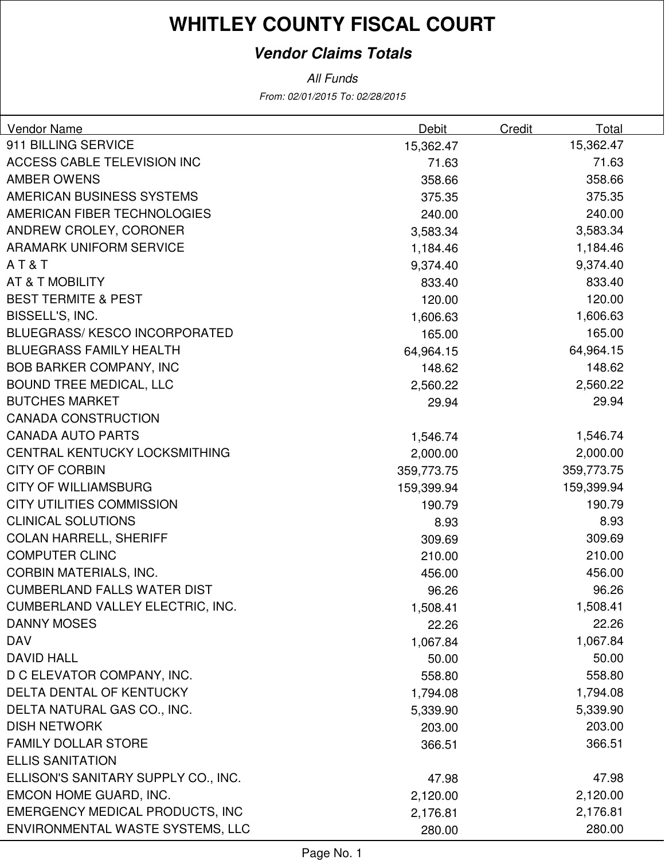# **WHITLEY COUNTY FISCAL COURT**

### **Vendor Claims Totals**

From: 02/01/2015 To: 02/28/2015 All Funds

| Vendor Name                            | Debit      | Credit<br>Total |  |
|----------------------------------------|------------|-----------------|--|
| 911 BILLING SERVICE                    | 15,362.47  | 15,362.47       |  |
| ACCESS CABLE TELEVISION INC            | 71.63      | 71.63           |  |
| <b>AMBER OWENS</b>                     | 358.66     | 358.66          |  |
| AMERICAN BUSINESS SYSTEMS              | 375.35     | 375.35          |  |
| AMERICAN FIBER TECHNOLOGIES            | 240.00     | 240.00          |  |
| ANDREW CROLEY, CORONER                 | 3,583.34   | 3,583.34        |  |
| <b>ARAMARK UNIFORM SERVICE</b>         | 1,184.46   | 1,184.46        |  |
| AT&T                                   | 9,374.40   | 9,374.40        |  |
| AT & T MOBILITY                        | 833.40     | 833.40          |  |
| <b>BEST TERMITE &amp; PEST</b>         | 120.00     | 120.00          |  |
| BISSELL'S, INC.                        | 1,606.63   | 1,606.63        |  |
| BLUEGRASS/KESCO INCORPORATED           | 165.00     | 165.00          |  |
| <b>BLUEGRASS FAMILY HEALTH</b>         | 64,964.15  | 64,964.15       |  |
| <b>BOB BARKER COMPANY, INC</b>         | 148.62     | 148.62          |  |
| <b>BOUND TREE MEDICAL, LLC</b>         | 2,560.22   | 2,560.22        |  |
| <b>BUTCHES MARKET</b>                  | 29.94      | 29.94           |  |
| <b>CANADA CONSTRUCTION</b>             |            |                 |  |
| <b>CANADA AUTO PARTS</b>               | 1,546.74   | 1,546.74        |  |
| CENTRAL KENTUCKY LOCKSMITHING          | 2,000.00   | 2,000.00        |  |
| <b>CITY OF CORBIN</b>                  | 359,773.75 | 359,773.75      |  |
| <b>CITY OF WILLIAMSBURG</b>            | 159,399.94 | 159,399.94      |  |
| <b>CITY UTILITIES COMMISSION</b>       | 190.79     | 190.79          |  |
| <b>CLINICAL SOLUTIONS</b>              | 8.93       | 8.93            |  |
| <b>COLAN HARRELL, SHERIFF</b>          | 309.69     | 309.69          |  |
| <b>COMPUTER CLINC</b>                  | 210.00     | 210.00          |  |
| <b>CORBIN MATERIALS, INC.</b>          | 456.00     | 456.00          |  |
| <b>CUMBERLAND FALLS WATER DIST</b>     | 96.26      | 96.26           |  |
| CUMBERLAND VALLEY ELECTRIC, INC.       | 1,508.41   | 1,508.41        |  |
| <b>DANNY MOSES</b>                     | 22.26      | 22.26           |  |
| <b>DAV</b>                             | 1,067.84   | 1,067.84        |  |
| <b>DAVID HALL</b>                      | 50.00      | 50.00           |  |
| D C ELEVATOR COMPANY, INC.             | 558.80     | 558.80          |  |
| DELTA DENTAL OF KENTUCKY               | 1,794.08   | 1,794.08        |  |
| DELTA NATURAL GAS CO., INC.            | 5,339.90   | 5,339.90        |  |
| <b>DISH NETWORK</b>                    | 203.00     | 203.00          |  |
| <b>FAMILY DOLLAR STORE</b>             | 366.51     | 366.51          |  |
| <b>ELLIS SANITATION</b>                |            |                 |  |
| ELLISON'S SANITARY SUPPLY CO., INC.    | 47.98      | 47.98           |  |
| EMCON HOME GUARD, INC.                 | 2,120.00   | 2,120.00        |  |
| <b>EMERGENCY MEDICAL PRODUCTS, INC</b> | 2,176.81   | 2,176.81        |  |
| ENVIRONMENTAL WASTE SYSTEMS, LLC       | 280.00     | 280.00          |  |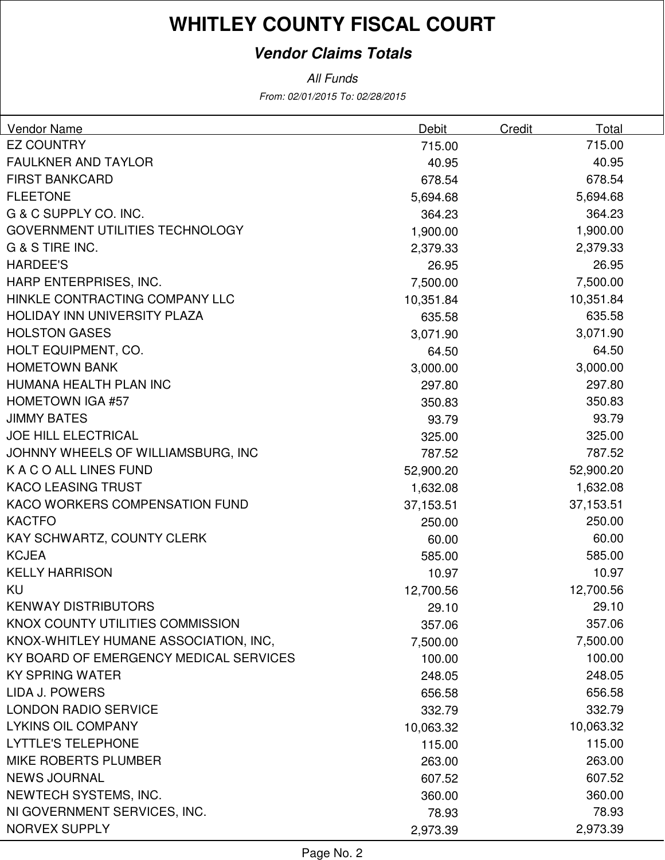# **WHITLEY COUNTY FISCAL COURT**

### **Vendor Claims Totals**

From: 02/01/2015 To: 02/28/2015 All Funds

| Vendor Name                            | <b>Debit</b> | Credit | Total     |
|----------------------------------------|--------------|--------|-----------|
| <b>EZ COUNTRY</b>                      | 715.00       |        | 715.00    |
| <b>FAULKNER AND TAYLOR</b>             | 40.95        |        | 40.95     |
| <b>FIRST BANKCARD</b>                  | 678.54       |        | 678.54    |
| <b>FLEETONE</b>                        | 5,694.68     |        | 5,694.68  |
| G & C SUPPLY CO. INC.                  | 364.23       |        | 364.23    |
| <b>GOVERNMENT UTILITIES TECHNOLOGY</b> | 1,900.00     |        | 1,900.00  |
| G & S TIRE INC.                        | 2,379.33     |        | 2,379.33  |
| <b>HARDEE'S</b>                        | 26.95        |        | 26.95     |
| HARP ENTERPRISES, INC.                 | 7,500.00     |        | 7,500.00  |
| HINKLE CONTRACTING COMPANY LLC         | 10,351.84    |        | 10,351.84 |
| HOLIDAY INN UNIVERSITY PLAZA           | 635.58       |        | 635.58    |
| <b>HOLSTON GASES</b>                   | 3,071.90     |        | 3,071.90  |
| HOLT EQUIPMENT, CO.                    | 64.50        |        | 64.50     |
| <b>HOMETOWN BANK</b>                   | 3,000.00     |        | 3,000.00  |
| HUMANA HEALTH PLAN INC                 | 297.80       |        | 297.80    |
| <b>HOMETOWN IGA #57</b>                | 350.83       |        | 350.83    |
| <b>JIMMY BATES</b>                     | 93.79        |        | 93.79     |
| <b>JOE HILL ELECTRICAL</b>             | 325.00       |        | 325.00    |
| JOHNNY WHEELS OF WILLIAMSBURG, INC     | 787.52       |        | 787.52    |
| K A C O ALL LINES FUND                 | 52,900.20    |        | 52,900.20 |
| <b>KACO LEASING TRUST</b>              | 1,632.08     |        | 1,632.08  |
| KACO WORKERS COMPENSATION FUND         | 37,153.51    |        | 37,153.51 |
| <b>KACTFO</b>                          | 250.00       |        | 250.00    |
| KAY SCHWARTZ, COUNTY CLERK             | 60.00        |        | 60.00     |
| <b>KCJEA</b>                           | 585.00       |        | 585.00    |
| <b>KELLY HARRISON</b>                  | 10.97        |        | 10.97     |
| KU                                     | 12,700.56    |        | 12,700.56 |
| <b>KENWAY DISTRIBUTORS</b>             | 29.10        |        | 29.10     |
| KNOX COUNTY UTILITIES COMMISSION       | 357.06       |        | 357.06    |
| KNOX-WHITLEY HUMANE ASSOCIATION, INC,  | 7,500.00     |        | 7,500.00  |
| KY BOARD OF EMERGENCY MEDICAL SERVICES | 100.00       |        | 100.00    |
| <b>KY SPRING WATER</b>                 | 248.05       |        | 248.05    |
| <b>LIDA J. POWERS</b>                  | 656.58       |        | 656.58    |
| <b>LONDON RADIO SERVICE</b>            | 332.79       |        | 332.79    |
| <b>LYKINS OIL COMPANY</b>              | 10,063.32    |        | 10,063.32 |
| <b>LYTTLE'S TELEPHONE</b>              | 115.00       |        | 115.00    |
| MIKE ROBERTS PLUMBER                   | 263.00       |        | 263.00    |
| <b>NEWS JOURNAL</b>                    | 607.52       |        | 607.52    |
| NEWTECH SYSTEMS, INC.                  | 360.00       |        | 360.00    |
| NI GOVERNMENT SERVICES, INC.           | 78.93        |        | 78.93     |
| NORVEX SUPPLY                          | 2,973.39     |        | 2,973.39  |